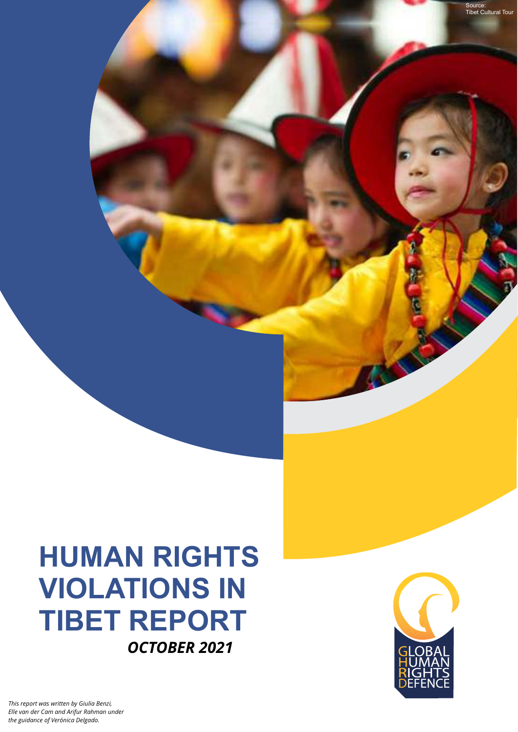## **HUMAN RIGHTS VIOLATIONS IN TIBET REPORT**  *OCTOBER 2021*



Source: Tibet Cultural Tour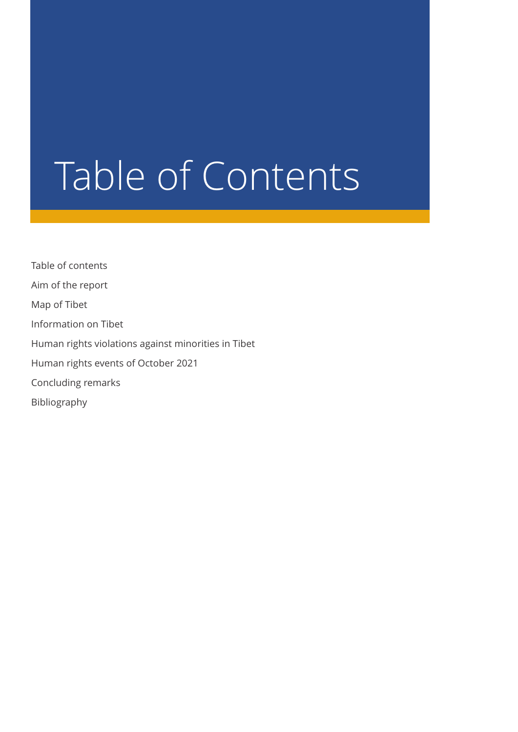## Table of Contents

Table of contents Aim of the report Map of Tibet Information on Tibet Human rights violations against minorities in Tibet Human rights events of October 2021 Concluding remarks Bibliography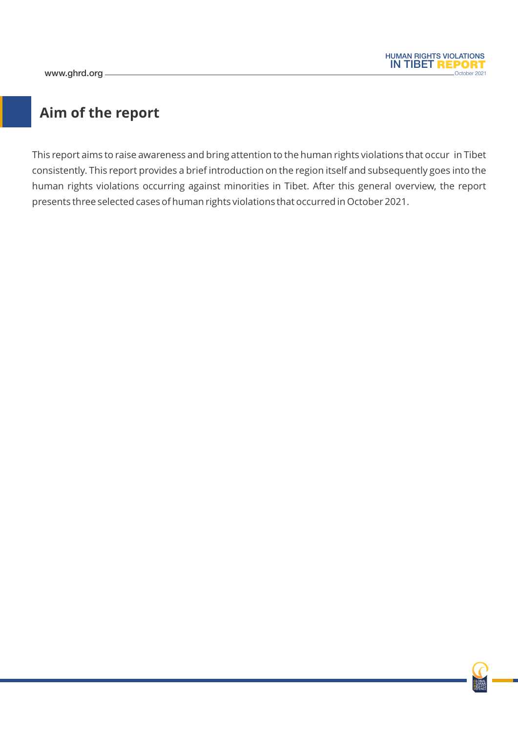

## **Aim of the report**

This report aims to raise awareness and bring attention to the human rights violations that occur in Tibet consistently. This report provides a brief introduction on the region itself and subsequently goes into the human rights violations occurring against minorities in Tibet. After this general overview, the report presents three selected cases of human rights violations that occurred in October 2021.

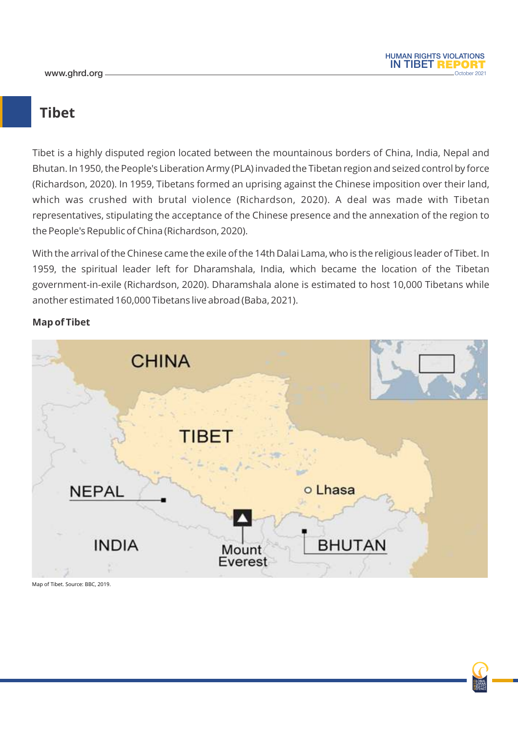

## **Tibet**

Tibet is a highly disputed region located between the mountainous borders of China, India, Nepal and Bhutan. In 1950, the People's Liberation Army (PLA) invaded the Tibetan region and seized control by force (Richardson, 2020). In 1959, Tibetans formed an uprising against the Chinese imposition over their land, which was crushed with brutal violence (Richardson, 2020). A deal was made with Tibetan representatives, stipulating the acceptance of the Chinese presence and the annexation of the region to the People's Republic of China (Richardson, 2020).

With the arrival of the Chinese came the exile of the 14th Dalai Lama, who is the religious leader of Tibet. In 1959, the spiritual leader left for Dharamshala, India, which became the location of the Tibetan government-in-exile (Richardson, 2020). Dharamshala alone is estimated to host 10,000 Tibetans while another estimated 160,000 Tibetans live abroad (Baba, 2021).



#### **Map of Tibet**

Map of Tibet. Source: BBC, 2019.

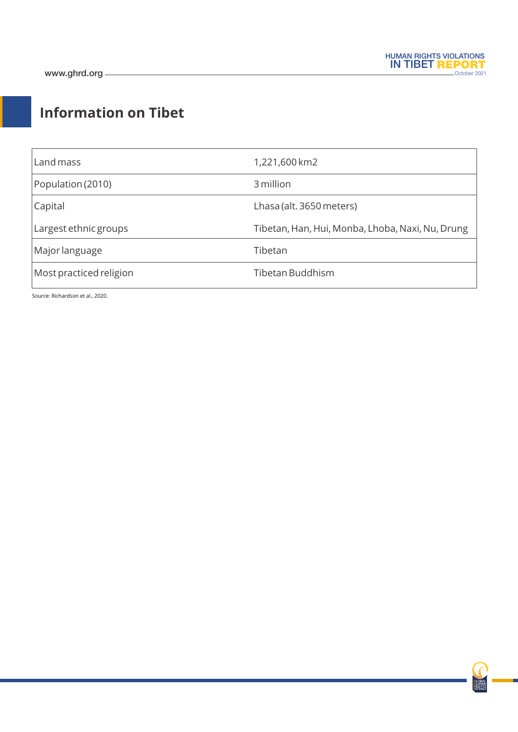## **Information on Tibet**

| Land mass               | 1,221,600 km2                                    |
|-------------------------|--------------------------------------------------|
| Population (2010)       | 3 million                                        |
| Capital                 | Lhasa (alt. 3650 meters)                         |
| Largest ethnic groups   | Tibetan, Han, Hui, Monba, Lhoba, Naxi, Nu, Drung |
| Major language          | Tibetan                                          |
| Most practiced religion | Tibetan Buddhism                                 |

Source: Richardson et al., 2020.

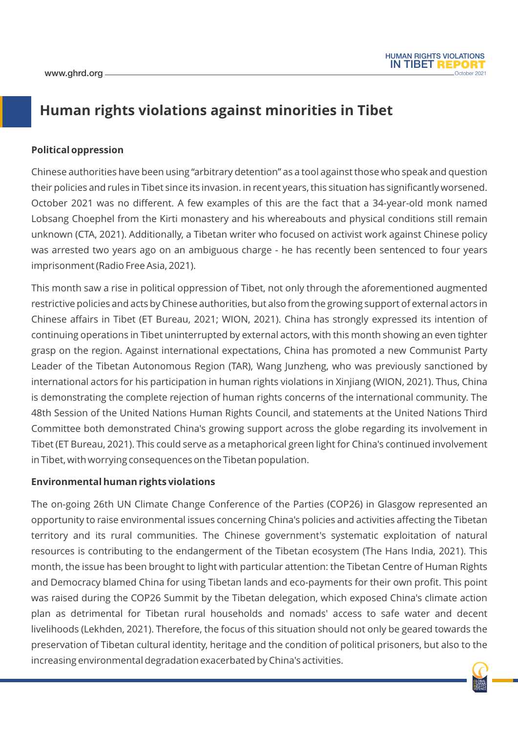## **Human rights violations against minorities in Tibet**

#### **Political oppression**

Chinese authorities have been using "arbitrary detention" as a tool against those who speak and question their policies and rules in Tibet since its invasion. in recent years, this situation has significantly worsened. October 2021 was no different. A few examples of this are the fact that a 34-year-old monk named Lobsang Choephel from the Kirti monastery and his whereabouts and physical conditions still remain unknown (CTA, 2021). Additionally, a Tibetan writer who focused on activist work against Chinese policy was arrested two years ago on an ambiguous charge - he has recently been sentenced to four years imprisonment (Radio Free Asia, 2021).

This month saw a rise in political oppression of Tibet, not only through the aforementioned augmented restrictive policies and acts by Chinese authorities, but also from the growing support of external actors in Chinese affairs in Tibet (ET Bureau, 2021; WION, 2021). China has strongly expressed its intention of continuing operations in Tibet uninterrupted by external actors, with this month showing an even tighter grasp on the region. Against international expectations, China has promoted a new Communist Party Leader of the Tibetan Autonomous Region (TAR), Wang Junzheng, who was previously sanctioned by international actors for his participation in human rights violations in Xinjiang (WION, 2021). Thus, China is demonstrating the complete rejection of human rights concerns of the international community. The 48th Session of the United Nations Human Rights Council, and statements at the United Nations Third Committee both demonstrated China's growing support across the globe regarding its involvement in Tibet (ET Bureau, 2021). This could serve as a metaphorical green light for China's continued involvement in Tibet, with worrying consequences on the Tibetan population.

#### **Environmental human rights violations**

The on-going 26th UN Climate Change Conference of the Parties (COP26) in Glasgow represented an opportunity to raise environmental issues concerning China's policies and activities affecting the Tibetan territory and its rural communities. The Chinese government's systematic exploitation of natural resources is contributing to the endangerment of the Tibetan ecosystem (The Hans India, 2021). This month, the issue has been brought to light with particular attention: the Tibetan Centre of Human Rights and Democracy blamed China for using Tibetan lands and eco-payments for their own profit. This point was raised during the COP26 Summit by the Tibetan delegation, which exposed China's climate action plan as detrimental for Tibetan rural households and nomads' access to safe water and decent livelihoods (Lekhden, 2021). Therefore, the focus of this situation should not only be geared towards the preservation of Tibetan cultural identity, heritage and the condition of political prisoners, but also to the increasing environmental degradation exacerbated by China's activities.

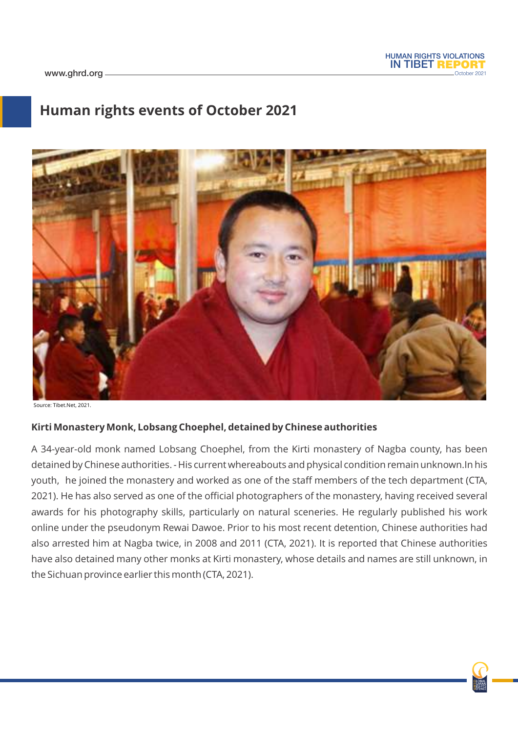

## **Human rights events of October 2021**



Source: Tibet.Net, 2021.

#### **Kirti Monastery Monk, Lobsang Choephel, detained by Chinese authorities**

A 34-year-old monk named Lobsang Choephel, from the Kirti monastery of Nagba county, has been detained by Chinese authorities. - His current whereabouts and physical condition remain unknown.In his youth, he joined the monastery and worked as one of the staff members of the tech department (CTA, 2021). He has also served as one of the official photographers of the monastery, having received several awards for his photography skills, particularly on natural sceneries. He regularly published his work online under the pseudonym Rewai Dawoe. Prior to his most recent detention, Chinese authorities had also arrested him at Nagba twice, in 2008 and 2011 (CTA, 2021). It is reported that Chinese authorities have also detained many other monks at Kirti monastery, whose details and names are still unknown, in the Sichuan province earlier this month (CTA, 2021).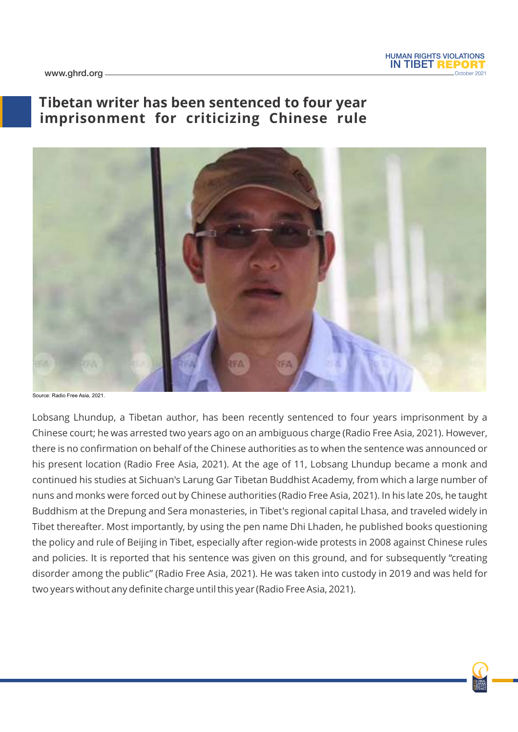

www.ghrd.org

## **Tibetan writer has been sentenced to four year imprisonment for criticizing Chinese rule**



Source: Radio Free Asia, 2021.

Lobsang Lhundup, a Tibetan author, has been recently sentenced to four years imprisonment by a Chinese court; he was arrested two years ago on an ambiguous charge (Radio Free Asia, 2021). However, there is no confirmation on behalf of the Chinese authorities as to when the sentence was announced or his present location (Radio Free Asia, 2021). At the age of 11, Lobsang Lhundup became a monk and continued his studies at Sichuan's Larung Gar Tibetan Buddhist Academy, from which a large number of nuns and monks were forced out by Chinese authorities (Radio Free Asia, 2021). In his late 20s, he taught Buddhism at the Drepung and Sera monasteries, in Tibet's regional capital Lhasa, and traveled widely in Tibet thereafter. Most importantly, by using the pen name Dhi Lhaden, he published books questioning the policy and rule of Beijing in Tibet, especially after region-wide protests in 2008 against Chinese rules and policies. It is reported that his sentence was given on this ground, and for subsequently "creating disorder among the public" (Radio Free Asia, 2021). He was taken into custody in 2019 and was held for two years without any definite charge until this year (Radio Free Asia, 2021).

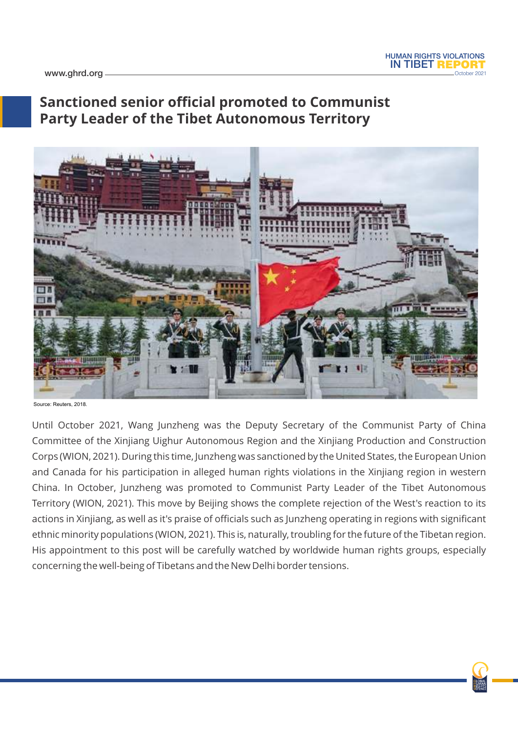

www.ghrd.org

## **Sanctioned senior official promoted to Communist Party Leader of the Tibet Autonomous Territory**



Source: Reuters, 2018.

Until October 2021, Wang Junzheng was the Deputy Secretary of the Communist Party of China Committee of the Xinjiang Uighur Autonomous Region and the Xinjiang Production and Construction Corps (WION, 2021). During this time, Junzheng was sanctioned by the United States, the European Union and Canada for his participation in alleged human rights violations in the Xinjiang region in western China. In October, Junzheng was promoted to Communist Party Leader of the Tibet Autonomous Territory (WION, 2021). This move by Beijing shows the complete rejection of the West's reaction to its actions in Xinjiang, as well as it's praise of officials such as Junzheng operating in regions with significant ethnic minority populations (WION, 2021). This is, naturally, troubling for the future of the Tibetan region. His appointment to this post will be carefully watched by worldwide human rights groups, especially concerning the well-being of Tibetans and the New Delhi border tensions.

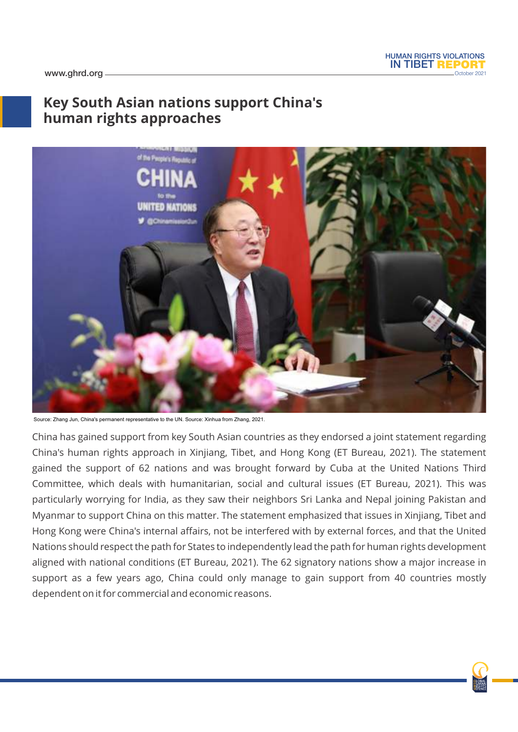## **Key South Asian nations support China's human rights approaches**



Source: Zhang Jun, China's permanent representative to the UN. Source: Xinhua from Zhang, 2021.

China has gained support from key South Asian countries as they endorsed a joint statement regarding China's human rights approach in Xinjiang, Tibet, and Hong Kong (ET Bureau, 2021). The statement gained the support of 62 nations and was brought forward by Cuba at the United Nations Third Committee, which deals with humanitarian, social and cultural issues (ET Bureau, 2021). This was particularly worrying for India, as they saw their neighbors Sri Lanka and Nepal joining Pakistan and Myanmar to support China on this matter. The statement emphasized that issues in Xinjiang, Tibet and Hong Kong were China's internal affairs, not be interfered with by external forces, and that the United Nations should respect the path for States to independently lead the path for human rights development aligned with national conditions (ET Bureau, 2021). The 62 signatory nations show a major increase in support as a few years ago, China could only manage to gain support from 40 countries mostly dependent on it for commercial and economic reasons.

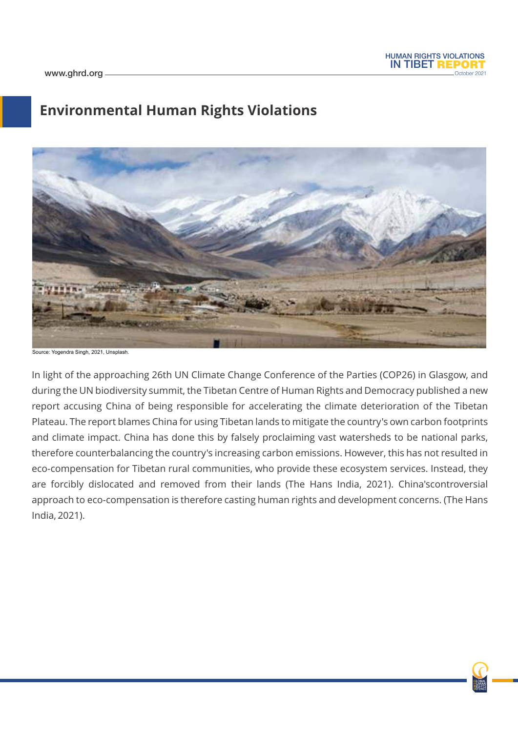## **Environmental Human Rights Violations**



Source: Yogendra Singh, 2021, Unsplash.

In light of the approaching 26th UN Climate Change Conference of the Parties (COP26) in Glasgow, and during the UN biodiversity summit, the Tibetan Centre of Human Rights and Democracy published a new report accusing China of being responsible for accelerating the climate deterioration of the Tibetan Plateau. The report blames China for using Tibetan lands to mitigate the country's own carbon footprints and climate impact. China has done this by falsely proclaiming vast watersheds to be national parks, therefore counterbalancing the country's increasing carbon emissions. However, this has not resulted in eco-compensation for Tibetan rural communities, who provide these ecosystem services. Instead, they are forcibly dislocated and removed from their lands (The Hans India, 2021). China'scontroversial approach to eco-compensation is therefore casting human rights and development concerns. (The Hans India, 2021).

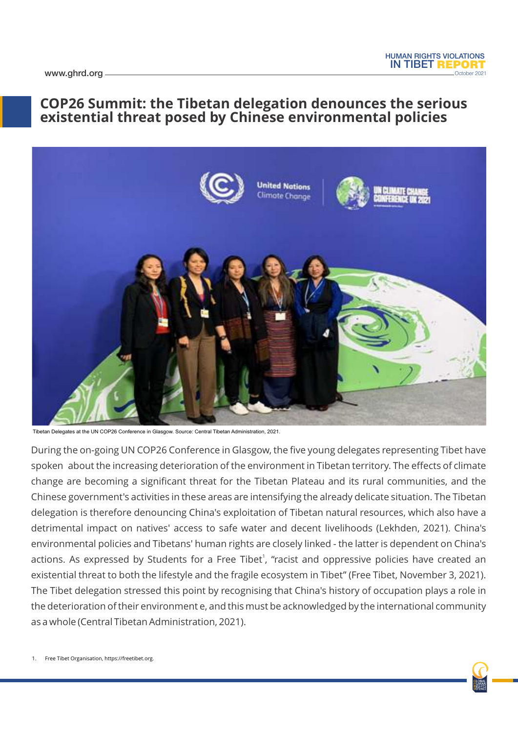### **COP26 Summit: the Tibetan delegation denounces the serious existential threat posed by Chinese environmental policies**



Tibetan Delegates at the UN COP26 Conference in Glasgow. Source: Central Tibetan Administration, 2021.

During the on-going UN COP26 Conference in Glasgow, the five young delegates representing Tibet have spoken about the increasing deterioration of the environment in Tibetan territory. The effects of climate change are becoming a significant threat for the Tibetan Plateau and its rural communities, and the Chinese government's activities in these areas are intensifying the already delicate situation. The Tibetan delegation is therefore denouncing China's exploitation of Tibetan natural resources, which also have a detrimental impact on natives' access to safe water and decent livelihoods (Lekhden, 2021). China's environmental policies and Tibetans' human rights are closely linked - the latter is dependent on China's actions. As expressed by Students for a Free Tibet<sup>1</sup>, "racist and oppressive policies have created an existential threat to both the lifestyle and the fragile ecosystem in Tibet" (Free Tibet, November 3, 2021). The Tibet delegation stressed this point by recognising that China's history of occupation plays a role in the deterioration of their environment e, and this must be acknowledged by the international community as a whole (Central Tibetan Administration, 2021).

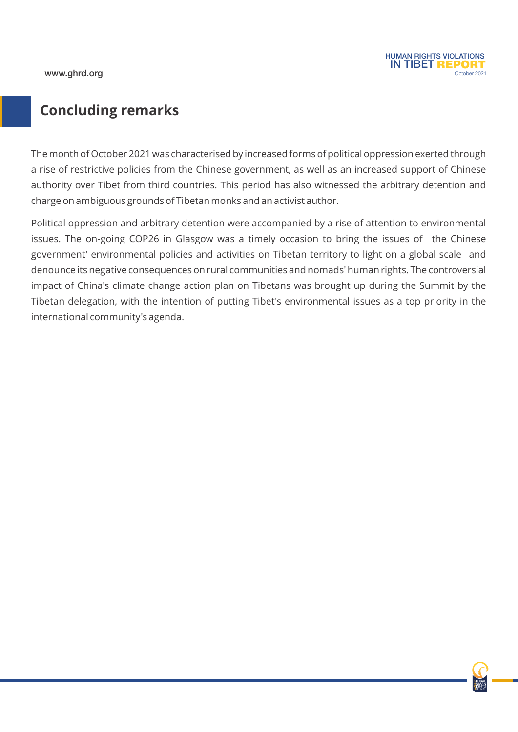

## **Concluding remarks**

The month of October 2021 was characterised by increased forms of political oppression exerted through a rise of restrictive policies from the Chinese government, as well as an increased support of Chinese authority over Tibet from third countries. This period has also witnessed the arbitrary detention and charge on ambiguous grounds of Tibetan monks and an activist author.

Political oppression and arbitrary detention were accompanied by a rise of attention to environmental issues. The on-going COP26 in Glasgow was a timely occasion to bring the issues of the Chinese government' environmental policies and activities on Tibetan territory to light on a global scale and denounce its negative consequences on rural communities and nomads' human rights. The controversial impact of China's climate change action plan on Tibetans was brought up during the Summit by the Tibetan delegation, with the intention of putting Tibet's environmental issues as a top priority in the international community's agenda.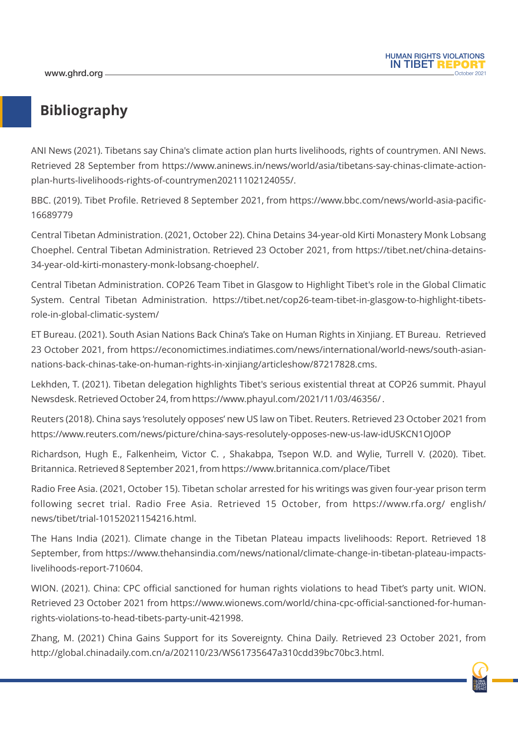## **Bibliography**

ANI News (2021). Tibetans say China's climate action plan hurts livelihoods, rights of countrymen. ANI News. Retrieved 28 September from https://www.aninews.in/news/world/asia/tibetans-say-chinas-climate-actionplan-hurts-livelihoods-rights-of-countrymen20211102124055/.

BBC. (2019). Tibet Profile. Retrieved 8 September 2021, from https://www.bbc.com/news/world-asia-pacific-16689779

Central Tibetan Administration. (2021, October 22). China Detains 34-year-old Kirti Monastery Monk Lobsang Choephel. Central Tibetan Administration. Retrieved 23 October 2021, from https://tibet.net/china-detains-34-year-old-kirti-monastery-monk-lobsang-choephel/.

Central Tibetan Administration. COP26 Team Tibet in Glasgow to Highlight Tibet's role in the Global Climatic System. Central Tibetan Administration. https://tibet.net/cop26-team-tibet-in-glasgow-to-highlight-tibetsrole-in-global-climatic-system/

ET Bureau. (2021). South Asian Nations Back China's Take on Human Rights in Xinjiang. ET Bureau. Retrieved 23 October 2021, from https://economictimes.indiatimes.com/news/international/world-news/south-asiannations-back-chinas-take-on-human-rights-in-xinjiang/articleshow/87217828.cms.

Lekhden, T. (2021). Tibetan delegation highlights Tibet's serious existential threat at COP26 summit. Phayul Newsdesk. Retrieved October 24, from https://www.phayul.com/2021/11/03/46356/ .

Reuters (2018). China says 'resolutely opposes' new US law on Tibet. Reuters. Retrieved 23 October 2021 from https://www.reuters.com/news/picture/china-says-resolutely-opposes-new-us-law-idUSKCN1OJ0OP

Richardson, Hugh E., Falkenheim, Victor C. , Shakabpa, Tsepon W.D. and Wylie, Turrell V. (2020). Tibet. Britannica. Retrieved 8 September 2021, from https://www.britannica.com/place/Tibet

Radio Free Asia. (2021, October 15). Tibetan scholar arrested for his writings was given four-year prison term following secret trial. Radio Free Asia. Retrieved 15 October, from https://www.rfa.org/ english/ news/tibet/trial-10152021154216.html.

The Hans India (2021). Climate change in the Tibetan Plateau impacts livelihoods: Report. Retrieved 18 September, from https://www.thehansindia.com/news/national/climate-change-in-tibetan-plateau-impactslivelihoods-report-710604.

WION. (2021). China: CPC official sanctioned for human rights violations to head Tibet's party unit. WION. Retrieved 23 October 2021 from https://www.wionews.com/world/china-cpc-official-sanctioned-for-humanrights-violations-to-head-tibets-party-unit-421998.

Zhang, M. (2021) China Gains Support for its Sovereignty. China Daily. Retrieved 23 October 2021, from http://global.chinadaily.com.cn/a/202110/23/WS61735647a310cdd39bc70bc3.html.